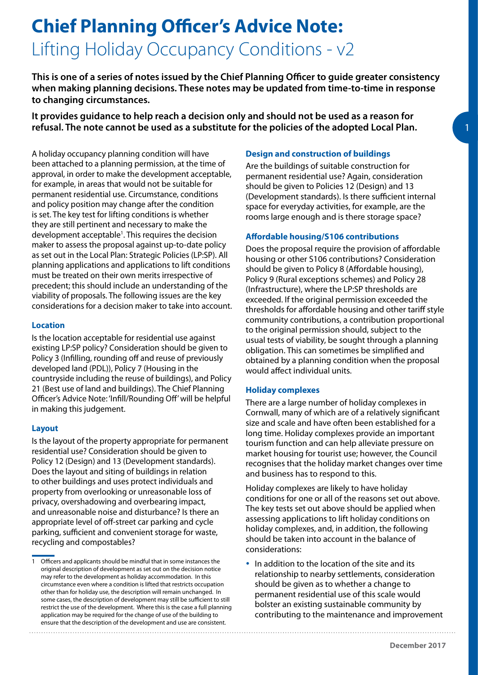# **Chief Planning Officer's Advice Note:** Lifting Holiday Occupancy Conditions - v2

**This is one of a series of notes issued by the Chief Planning Officer to guide greater consistency when making planning decisions. These notes may be updated from time-to-time in response to changing circumstances.** 

**It provides guidance to help reach a decision only and should not be used as a reason for refusal. The note cannot be used as a substitute for the policies of the adopted Local Plan.** 

A holiday occupancy planning condition will have been attached to a planning permission, at the time of approval, in order to make the development acceptable, for example, in areas that would not be suitable for permanent residential use. Circumstance, conditions and policy position may change after the condition is set. The key test for lifting conditions is whether they are still pertinent and necessary to make the development acceptable<sup>1</sup>. This requires the decision maker to assess the proposal against up-to-date policy as set out in the Local Plan: Strategic Policies (LP:SP). All planning applications and applications to lift conditions must be treated on their own merits irrespective of precedent; this should include an understanding of the viability of proposals. The following issues are the key considerations for a decision maker to take into account.

### **Location**

Is the location acceptable for residential use against existing LP:SP policy? Consideration should be given to Policy 3 (Infilling, rounding off and reuse of previously developed land (PDL)), Policy 7 (Housing in the countryside including the reuse of buildings), and Policy 21 (Best use of land and buildings). The Chief Planning Officer's Advice Note: 'Infill/Rounding Off' will be helpful in making this judgement.

# **Layout**

Is the layout of the property appropriate for permanent residential use? Consideration should be given to Policy 12 (Design) and 13 (Development standards). Does the layout and siting of buildings in relation to other buildings and uses protect individuals and property from overlooking or unreasonable loss of privacy, overshadowing and overbearing impact, and unreasonable noise and disturbance? Is there an appropriate level of off-street car parking and cycle parking, sufficient and convenient storage for waste, recycling and compostables?

## **Design and construction of buildings**

Are the buildings of suitable construction for permanent residential use? Again, consideration should be given to Policies 12 (Design) and 13 (Development standards). Is there sufficient internal space for everyday activities, for example, are the rooms large enough and is there storage space?

## **Affordable housing/S106 contributions**

Does the proposal require the provision of affordable housing or other S106 contributions? Consideration should be given to Policy 8 (Affordable housing), Policy 9 (Rural exceptions schemes) and Policy 28 (Infrastructure), where the LP:SP thresholds are exceeded. If the original permission exceeded the thresholds for affordable housing and other tariff style community contributions, a contribution proportional to the original permission should, subject to the usual tests of viability, be sought through a planning obligation. This can sometimes be simplified and obtained by a planning condition when the proposal would affect individual units.

# **Holiday complexes**

There are a large number of holiday complexes in Cornwall, many of which are of a relatively significant size and scale and have often been established for a long time. Holiday complexes provide an important tourism function and can help alleviate pressure on market housing for tourist use; however, the Council recognises that the holiday market changes over time and business has to respond to this.

Holiday complexes are likely to have holiday conditions for one or all of the reasons set out above. The key tests set out above should be applied when assessing applications to lift holiday conditions on holiday complexes, and, in addition, the following should be taken into account in the balance of considerations:

• In addition to the location of the site and its relationship to nearby settlements, consideration should be given as to whether a change to permanent residential use of this scale would bolster an existing sustainable community by contributing to the maintenance and improvement

<sup>1</sup> Officers and applicants should be mindful that in some instances the original description of development as set out on the decision notice may refer to the development as holiday accommodation. In this circumstance even where a condition is lifted that restricts occupation other than for holiday use, the description will remain unchanged. In some cases, the description of development may still be sufficient to still restrict the use of the development. Where this is the case a full planning application may be required for the change of use of the building to ensure that the description of the development and use are consistent.